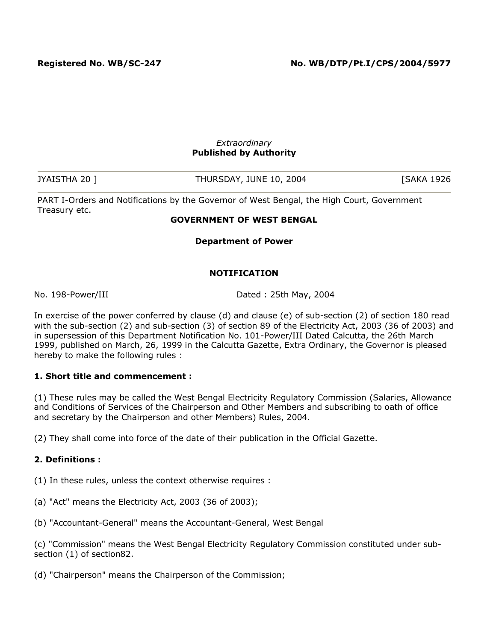#### *Extraordinary* **Published by Authority**

| JYAISTHA 20 ] | THURSDAY, JUNE 10, 2004 | <b>SAKA 1926</b> |
|---------------|-------------------------|------------------|

PART I-Orders and Notifications by the Governor of West Bengal, the High Court, Government Treasury etc.

#### **GOVERNMENT OF WEST BENGAL**

**Department of Power**

### **NOTIFICATION**

No. 198-Power/III Dated : 25th May, 2004

In exercise of the power conferred by clause (d) and clause (e) of sub-section (2) of section 180 read with the sub-section (2) and sub-section (3) of section 89 of the Electricity Act, 2003 (36 of 2003) and in supersession of this Department Notification No. 101-Power/III Dated Calcutta, the 26th March 1999, published on March, 26, 1999 in the Calcutta Gazette, Extra Ordinary, the Governor is pleased hereby to make the following rules :

### **1. Short title and commencement :**

(1) These rules may be called the West Bengal Electricity Regulatory Commission (Salaries, Allowance and Conditions of Services of the Chairperson and Other Members and subscribing to oath of office and secretary by the Chairperson and other Members) Rules, 2004.

(2) They shall come into force of the date of their publication in the Official Gazette.

### **2. Definitions :**

(1) In these rules, unless the context otherwise requires :

- (a) "Act" means the Electricity Act, 2003 (36 of 2003);
- (b) "Accountant-General" means the Accountant-General, West Bengal

(c) "Commission" means the West Bengal Electricity Regulatory Commission constituted under subsection (1) of section82.

(d) "Chairperson" means the Chairperson of the Commission;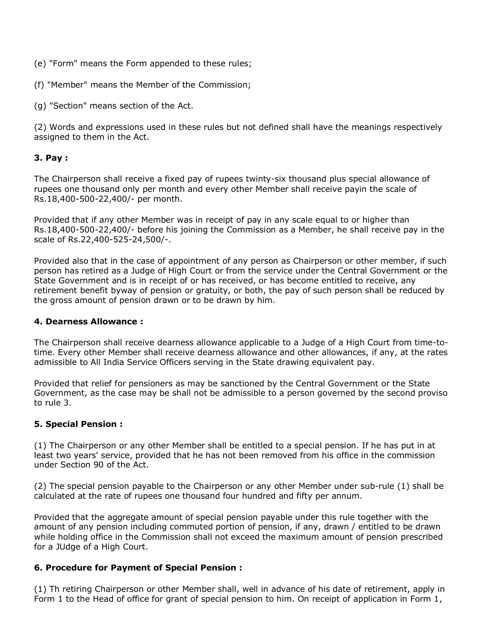- (e) "Form" means the Form appended to these rules;
- (f) "Member" means the Member of the Commission;
- (g) "Section" means section of the Act.

(2) Words and expressions used in these rules but not defined shall have the meanings respectively assigned to them in the Act.

### **3. Pay :**

The Chairperson shall receive a fixed pay of rupees twinty-six thousand plus special allowance of rupees one thousand only per month and every other Member shall receive payin the scale of Rs.18,400-500-22,400/- per month.

Provided that if any other Member was in receipt of pay in any scale equal to or higher than Rs.18,400-500-22,400/- before his joining the Commission as a Member, he shall receive pay in the scale of Rs.22,400-525-24,500/-.

Provided also that in the case of appointment of any person as Chairperson or other member, if such person has retired as a Judge of High Court or from the service under the Central Government or the State Government and is in receipt of or has received, or has become entitled to receive, any retirement benefit byway of pension or gratuity, or both, the pay of such person shall be reduced by the gross amount of pension drawn or to be drawn by him.

### **4. Dearness Allowance :**

The Chairperson shall receive dearness allowance applicable to a Judge of a High Court from time-totime. Every other Member shall receive dearness allowance and other allowances, if any, at the rates admissible to All India Service Officers serving in the State drawing equivalent pay.

Provided that relief for pensioners as may be sanctioned by the Central Government or the State Government, as the case may be shall not be admissible to a person governed by the second proviso to rule 3.

### **5. Special Pension :**

(1) The Chairperson or any other Member shall be entitled to a special pension. If he has put in at least two years' service, provided that he has not been removed from his office in the commission under Section 90 of the Act.

(2) The special pension payable to the Chairperson or any other Member under sub-rule (1) shall be calculated at the rate of rupees one thousand four hundred and fifty per annum.

Provided that the aggregate amount of special pension payable under this rule together with the amount of any pension including commuted portion of pension, if any, drawn / entitled to be drawn while holding office in the Commission shall not exceed the maximum amount of pension prescribed for a JUdge of a High Court.

### **6. Procedure for Payment of Special Pension :**

(1) Th retiring Chairperson or other Member shall, well in advance of his date of retirement, apply in Form 1 to the Head of office for grant of special pension to him. On receipt of application in Form 1,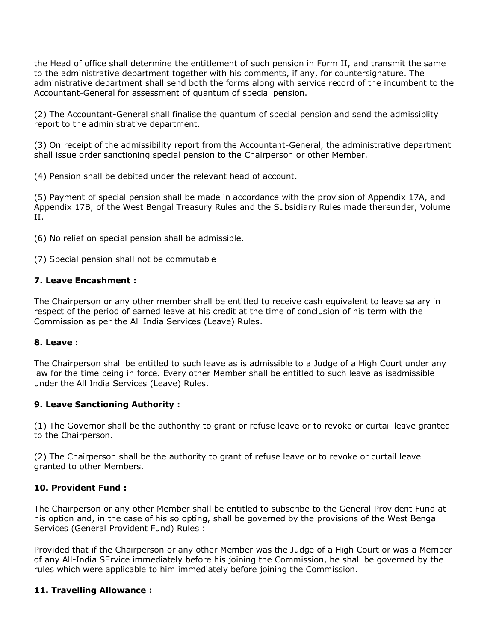the Head of office shall determine the entitlement of such pension in Form II, and transmit the same to the administrative department together with his comments, if any, for countersignature. The administrative department shall send both the forms along with service record of the incumbent to the Accountant-General for assessment of quantum of special pension.

(2) The Accountant-General shall finalise the quantum of special pension and send the admissiblity report to the administrative department.

(3) On receipt of the admissibility report from the Accountant-General, the administrative department shall issue order sanctioning special pension to the Chairperson or other Member.

(4) Pension shall be debited under the relevant head of account.

(5) Payment of special pension shall be made in accordance with the provision of Appendix 17A, and Appendix 17B, of the West Bengal Treasury Rules and the Subsidiary Rules made thereunder, Volume II.

(6) No relief on special pension shall be admissible.

(7) Special pension shall not be commutable

### **7. Leave Encashment :**

The Chairperson or any other member shall be entitled to receive cash equivalent to leave salary in respect of the period of earned leave at his credit at the time of conclusion of his term with the Commission as per the All India Services (Leave) Rules.

### **8. Leave :**

The Chairperson shall be entitled to such leave as is admissible to a Judge of a High Court under any law for the time being in force. Every other Member shall be entitled to such leave as isadmissible under the All India Services (Leave) Rules.

### **9. Leave Sanctioning Authority :**

(1) The Governor shall be the authorithy to grant or refuse leave or to revoke or curtail leave granted to the Chairperson.

(2) The Chairperson shall be the authority to grant of refuse leave or to revoke or curtail leave granted to other Members.

### **10. Provident Fund :**

The Chairperson or any other Member shall be entitled to subscribe to the General Provident Fund at his option and, in the case of his so opting, shall be governed by the provisions of the West Bengal Services (General Provident Fund) Rules :

Provided that if the Chairperson or any other Member was the Judge of a High Court or was a Member of any All-India SErvice immediately before his joining the Commission, he shall be governed by the rules which were applicable to him immediately before joining the Commission.

### **11. Travelling Allowance :**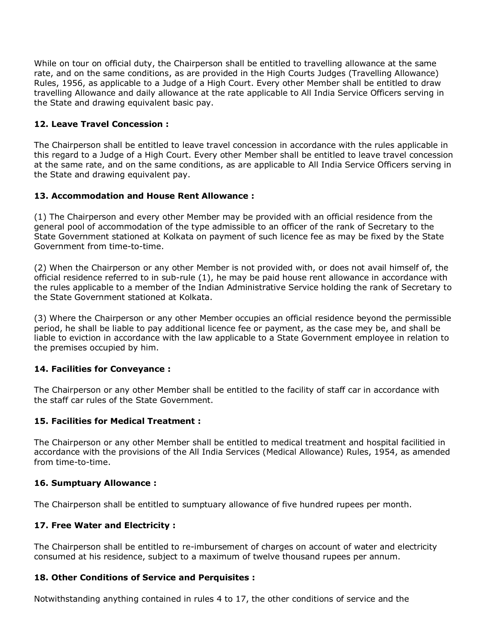While on tour on official duty, the Chairperson shall be entitled to travelling allowance at the same rate, and on the same conditions, as are provided in the High Courts Judges (Travelling Allowance) Rules, 1956, as applicable to a Judge of a High Court. Every other Member shall be entitled to draw travelling Allowance and daily allowance at the rate applicable to All India Service Officers serving in the State and drawing equivalent basic pay.

### **12. Leave Travel Concession :**

The Chairperson shall be entitled to leave travel concession in accordance with the rules applicable in this regard to a Judge of a High Court. Every other Member shall be entitled to leave travel concession at the same rate, and on the same conditions, as are applicable to All India Service Officers serving in the State and drawing equivalent pay.

### **13. Accommodation and House Rent Allowance :**

(1) The Chairperson and every other Member may be provided with an official residence from the general pool of accommodation of the type admissible to an officer of the rank of Secretary to the State Government stationed at Kolkata on payment of such licence fee as may be fixed by the State Government from time-to-time.

(2) When the Chairperson or any other Member is not provided with, or does not avail himself of, the official residence referred to in sub-rule (1), he may be paid house rent allowance in accordance with the rules applicable to a member of the Indian Administrative Service holding the rank of Secretary to the State Government stationed at Kolkata.

(3) Where the Chairperson or any other Member occupies an official residence beyond the permissible period, he shall be liable to pay additional licence fee or payment, as the case mey be, and shall be liable to eviction in accordance with the law applicable to a State Government employee in relation to the premises occupied by him.

### **14. Facilities for Conveyance :**

The Chairperson or any other Member shall be entitled to the facility of staff car in accordance with the staff car rules of the State Government.

### **15. Facilities for Medical Treatment :**

The Chairperson or any other Member shall be entitled to medical treatment and hospital facilitied in accordance with the provisions of the All India Services (Medical Allowance) Rules, 1954, as amended from time-to-time.

### **16. Sumptuary Allowance :**

The Chairperson shall be entitled to sumptuary allowance of five hundred rupees per month.

### **17. Free Water and Electricity :**

The Chairperson shall be entitled to re-imbursement of charges on account of water and electricity consumed at his residence, subject to a maximum of twelve thousand rupees per annum.

### **18. Other Conditions of Service and Perquisites :**

Notwithstanding anything contained in rules 4 to 17, the other conditions of service and the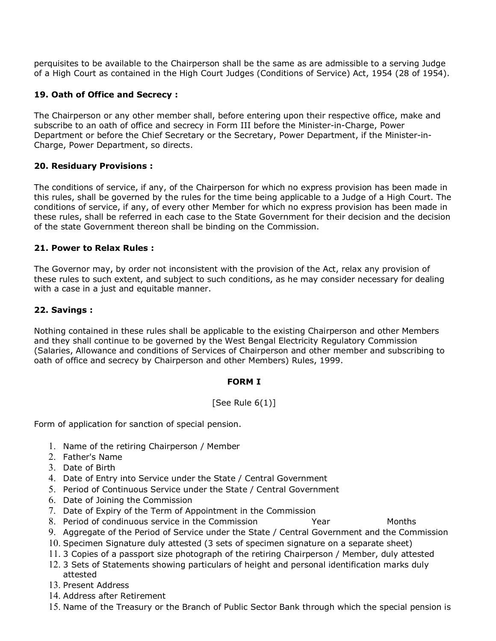perquisites to be available to the Chairperson shall be the same as are admissible to a serving Judge of a High Court as contained in the High Court Judges (Conditions of Service) Act, 1954 (28 of 1954).

## **19. Oath of Office and Secrecy :**

The Chairperson or any other member shall, before entering upon their respective office, make and subscribe to an oath of office and secrecy in Form III before the Minister-in-Charge, Power Department or before the Chief Secretary or the Secretary, Power Department, if the Minister-in-Charge, Power Department, so directs.

### **20. Residuary Provisions :**

The conditions of service, if any, of the Chairperson for which no express provision has been made in this rules, shall be governed by the rules for the time being applicable to a Judge of a High Court. The conditions of service, if any, of every other Member for which no express provision has been made in these rules, shall be referred in each case to the State Government for their decision and the decision of the state Government thereon shall be binding on the Commission.

### **21. Power to Relax Rules :**

The Governor may, by order not inconsistent with the provision of the Act, relax any provision of these rules to such extent, and subject to such conditions, as he may consider necessary for dealing with a case in a just and equitable manner.

## **22. Savings :**

Nothing contained in these rules shall be applicable to the existing Chairperson and other Members and they shall continue to be governed by the West Bengal Electricity Regulatory Commission (Salaries, Allowance and conditions of Services of Chairperson and other member and subscribing to oath of office and secrecy by Chairperson and other Members) Rules, 1999.

### **FORM I**

# [See Rule  $6(1)$ ]

Form of application for sanction of special pension.

- 1. Name of the retiring Chairperson / Member
- 2. Father's Name
- 3. Date of Birth
- 4. Date of Entry into Service under the State / Central Government
- 5. Period of Continuous Service under the State / Central Government
- 6. Date of Joining the Commission
- 7. Date of Expiry of the Term of Appointment in the Commission
- 8. Period of condinuous service in the Commission The Year Months
- 9. Aggregate of the Period of Service under the State / Central Government and the Commission
- 10. Specimen Signature duly attested (3 sets of specimen signature on a separate sheet)
- 11. 3 Copies of a passport size photograph of the retiring Chairperson / Member, duly attested
- 12. 3 Sets of Statements showing particulars of height and personal identification marks duly attested
- 13. Present Address
- 14. Address after Retirement
- 15. Name of the Treasury or the Branch of Public Sector Bank through which the special pension is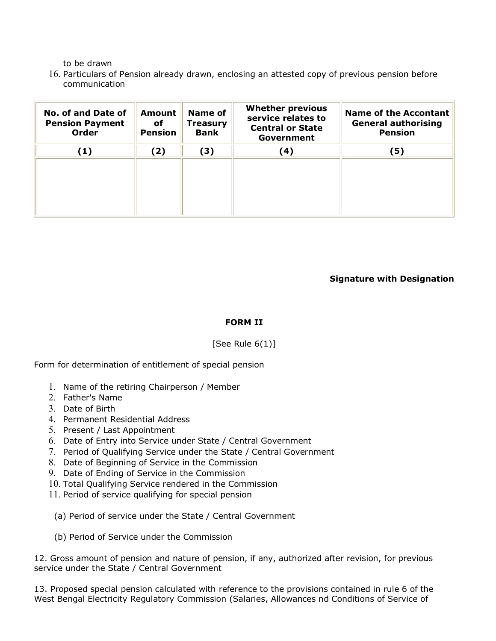to be drawn

16. Particulars of Pension already drawn, enclosing an attested copy of previous pension before communication

| <b>No. of and Date of</b><br><b>Pension Payment</b><br><b>Order</b> | <b>Amount</b><br>оf<br><b>Pension</b> | <b>Name of</b><br>Treasury<br><b>Bank</b> | <b>Whether previous</b><br>service relates to<br><b>Central or State</b><br>Government | <b>Name of the Accontant</b><br><b>General authorising</b><br><b>Pension</b> |
|---------------------------------------------------------------------|---------------------------------------|-------------------------------------------|----------------------------------------------------------------------------------------|------------------------------------------------------------------------------|
| (1)                                                                 | (2)                                   | (3)                                       | (4)                                                                                    | (5)                                                                          |
|                                                                     |                                       |                                           |                                                                                        |                                                                              |
|                                                                     |                                       |                                           |                                                                                        |                                                                              |
|                                                                     |                                       |                                           |                                                                                        |                                                                              |
|                                                                     |                                       |                                           |                                                                                        |                                                                              |

**Signature with Designation**

### **FORM II**

### [See Rule  $6(1)$ ]

Form for determination of entitlement of special pension

- 1. Name of the retiring Chairperson / Member
- 2. Father's Name
- 3. Date of Birth
- 4. Permanent Residential Address
- 5. Present / Last Appointment
- 6. Date of Entry into Service under State / Central Government
- 7. Period of Qualifying Service under the State / Central Government
- 8. Date of Beginning of Service in the Commission
- 9. Date of Ending of Service in the Commission
- 10. Total Qualifying Service rendered in the Commission
- 11. Period of service qualifying for special pension
- (a) Period of service under the State / Central Government
- (b) Period of Service under the Commission

12. Gross amount of pension and nature of pension, if any, authorized after revision, for previous service under the State / Central Government

13. Proposed special pension calculated with reference to the provisions contained in rule 6 of the West Bengal Electricity Regulatory Commission (Salaries, Allowances nd Conditions of Service of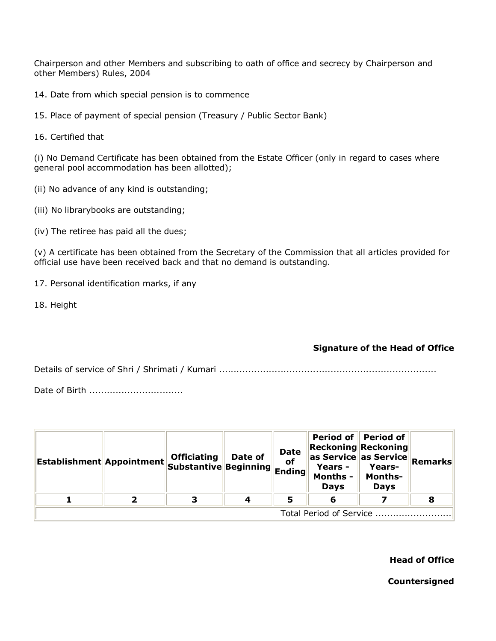Chairperson and other Members and subscribing to oath of office and secrecy by Chairperson and other Members) Rules, 2004

14. Date from which special pension is to commence

15. Place of payment of special pension (Treasury / Public Sector Bank)

16. Certified that

(i) No Demand Certificate has been obtained from the Estate Officer (only in regard to cases where general pool accommodation has been allotted);

- (ii) No advance of any kind is outstanding;
- (iii) No librarybooks are outstanding;
- (iv) The retiree has paid all the dues;

(v) A certificate has been obtained from the Secretary of the Commission that all articles provided for official use have been received back and that no demand is outstanding.

- 17. Personal identification marks, if any
- 18. Height

### **Signature of the Head of Office**

Details of service of Shri / Shrimati / Kumari ..........................................................................

Date of Birth ...................................

| <b>Establishment Appointment Officiating Date of   </b><br>Substantive Beginning |  |   |  | <b>Date</b><br>of<br>$\overline{\phantom{a}}$ Ending | <b>Reckoning Reckoning</b><br>$\ \mathsf{as} \ \mathsf{Service}\ $ as Service $\ \mathsf{Remarks}\ $<br>Years -<br><b>Months -</b><br><b>Days</b> | Period of Period of<br>Years-<br><b>Months-</b><br><b>Days</b> |    |  |
|----------------------------------------------------------------------------------|--|---|--|------------------------------------------------------|---------------------------------------------------------------------------------------------------------------------------------------------------|----------------------------------------------------------------|----|--|
|                                                                                  |  | 3 |  | 5                                                    | 6                                                                                                                                                 |                                                                | -8 |  |
| Total Period of Service                                                          |  |   |  |                                                      |                                                                                                                                                   |                                                                |    |  |

**Head of Office**

**Countersigned**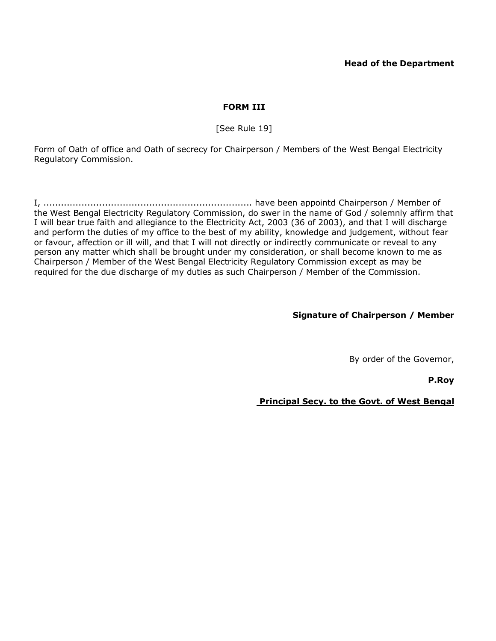### **Head of the Department**

### **FORM III**

[See Rule 19]

Form of Oath of office and Oath of secrecy for Chairperson / Members of the West Bengal Electricity Regulatory Commission.

I, ....................................................................... have been appointd Chairperson / Member of the West Bengal Electricity Regulatory Commission, do swer in the name of God / solemnly affirm that I will bear true faith and allegiance to the Electricity Act, 2003 (36 of 2003), and that I will discharge and perform the duties of my office to the best of my ability, knowledge and judgement, without fear or favour, affection or ill will, and that I will not directly or indirectly communicate or reveal to any person any matter which shall be brought under my consideration, or shall become known to me as Chairperson / Member of the West Bengal Electricity Regulatory Commission except as may be required for the due discharge of my duties as such Chairperson / Member of the Commission.

### **Signature of Chairperson / Member**

By order of the Governor,

 **P.Roy**

 **Principal Secy. to the Govt. of West Bengal**